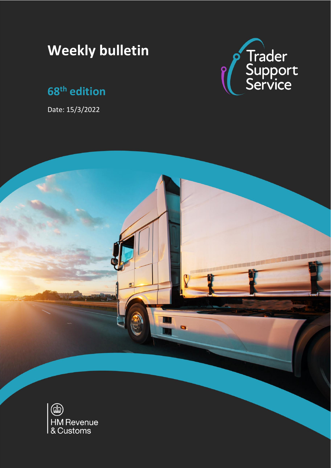# **Weekly bulletin**

## **68 th edition**

Date: 15/3/2022



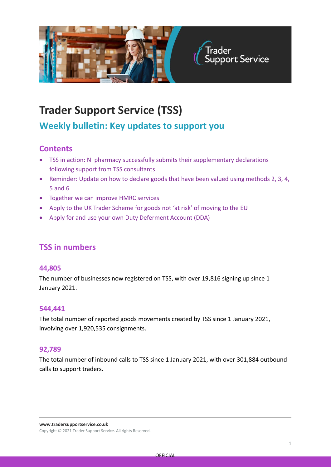

## **Trader Support Service (TSS)**

## **Weekly bulletin: Key updates to support you**

### **Contents**

- TSS in action: NI pharmacy successfully submits their supplementary declarations following support from TSS consultants
- Reminder: Update on how to declare goods that have been valued using methods 2, 3, 4, 5 and 6
- Together we can improve HMRC services
- Apply to the UK Trader Scheme for goods not 'at risk' of moving to the EU
- Apply for and use your own Duty Deferment Account (DDA)

### **TSS in numbers**

#### **44,805**

The number of businesses now registered on TSS, with over 19,816 signing up since 1 January 2021.

#### **544,441**

The total number of reported goods movements created by TSS since 1 January 2021, involving over 1,920,535 consignments.

#### **92,789**

The total number of inbound calls to TSS since 1 January 2021, with over 301,884 outbound calls to support traders.

**www.tradersupportservice.co.uk**

Copyright © 2021 Trader Support Service. All rights Reserved.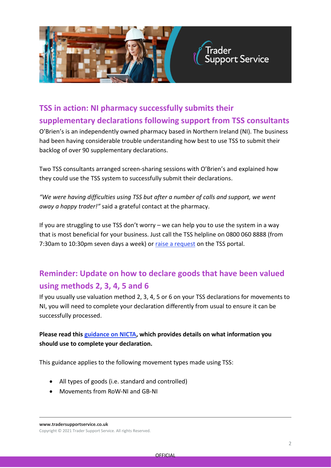

## **TSS in action: NI pharmacy successfully submits their supplementary declarations following support from TSS consultants**

O'Brien's is an independently owned pharmacy based in Northern Ireland (NI). The business had been having considerable trouble understanding how best to use TSS to submit their backlog of over 90 supplementary declarations.

Two TSS consultants arranged screen-sharing sessions with O'Brien's and explained how they could use the TSS system to successfully submit their declarations.

*"We were having difficulties using TSS but after a number of calls and support, we went away a happy trader!"* said a grateful contact at the pharmacy.

If you are struggling to use TSS don't worry – we can help you to use the system in a way that is most beneficial for your business. Just call the TSS helpline on 0800 060 8888 (from 7:30am to 10:30pm seven days a week) or [raise a request](https://www.tradersupportservice.co.uk/tss?id=tss_contact_us) on the TSS portal.

## **Reminder: Update on how to declare goods that have been valued using methods 2, 3, 4, 5 and 6**

If you usually use valuation method 2, 3, 4, 5 or 6 on your TSS declarations for movements to NI, you will need to complete your declaration differently from usual to ensure it can be successfully processed.

#### **Please read this [guidance on NICTA,](https://www.nicustomstradeacademy.co.uk/uncategorised/update-on-how-to-declare-goods-that-have-been-valued-using-valuation-methods-2-3-4-5-and-6/) which provides details on what information you should use to complete your declaration.**

This guidance applies to the following movement types made using TSS:

- All types of goods (i.e. standard and controlled)
- Movements from RoW-NI and GB-NI

**www.tradersupportservice.co.uk**

Copyright © 2021 Trader Support Service. All rights Reserved.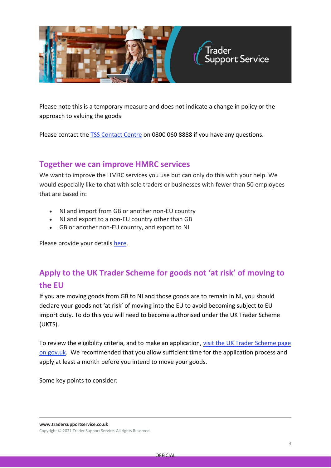

Please note this is a temporary measure and does not indicate a change in policy or the approach to valuing the goods.

Please contact the [TSS Contact Centre](https://www.tradersupportservice.co.uk/tss?id=tss_contact_us) on 0800 060 8888 if you have any questions.

#### **Together we can improve HMRC services**

We want to improve the HMRC services you use but can only do this with your help. We would especially like to chat with sole traders or businesses with fewer than 50 employees that are based in:

- NI and import from GB or another non-EU country
- NI and export to a non-EU country other than GB
- GB or another non-EU country, and export to NI

Please provide your details [here.](https://forms.office.com/r/FYHVVrSK51)

## **Apply to the UK Trader Scheme for goods not 'at risk' of moving to the EU**

If you are moving goods from GB to NI and those goods are to remain in NI, you should declare your goods not 'at risk' of moving into the EU to avoid becoming subject to EU import duty. To do this you will need to become authorised under the UK Trader Scheme (UKTS).

To review the eligibility criteria, and to make an application, visit the UK Trader Scheme page [on gov.uk.](https://www.gov.uk/guidance/apply-for-authorisation-for-the-uk-trader-scheme-if-you-bring-goods-into-northern-ireland) We recommended that you allow sufficient time for the application process and apply at least a month before you intend to move your goods.

Some key points to consider:

**www.tradersupportservice.co.uk**

Copyright © 2021 Trader Support Service. All rights Reserved.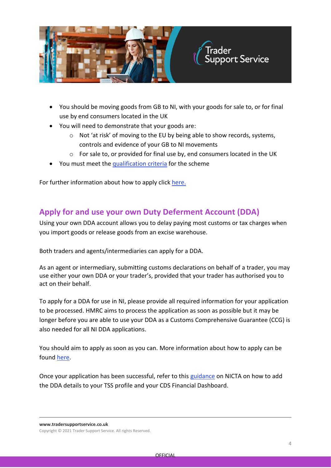

- You should be moving goods from GB to NI, with your goods for sale to, or for final use by end consumers located in the UK
- You will need to demonstrate that your goods are:
	- o Not 'at risk' of moving to the EU by being able to show records, systems, controls and evidence of your GB to NI movements
	- $\circ$  For sale to, or provided for final use by, end consumers located in the UK
- You must meet the [qualification criteria](https://www.gov.uk/guidance/apply-for-authorisation-for-the-uk-trader-scheme-if-you-bring-goods-into-northern-ireland) for the scheme

For further information about how to apply click [here.](https://www.gov.uk/guidance/apply-for-authorisation-for-the-uk-trader-scheme-if-you-bring-goods-into-northern-ireland)

#### **Apply for and use your own Duty Deferment Account (DDA)**

Using your own DDA account allows you to delay paying most customs or tax charges when you import goods or release goods from an excise warehouse.

Both traders and agents/intermediaries can apply for a DDA.

As an agent or intermediary, submitting customs declarations on behalf of a trader, you may use either your own DDA or your trader's, provided that your trader has authorised you to act on their behalf.

To apply for a DDA for use in NI, please provide all required information for your application to be processed. HMRC aims to process the application as soon as possible but it may be longer before you are able to use your DDA as a Customs Comprehensive Guarantee (CCG) is also needed for all NI DDA applications.

You should aim to apply as soon as you can. More information about how to apply can be found [here.](https://www.gov.uk/guidance/check-which-type-of-account-to-apply-for-to-defer-duty-payments-when-you-import-goods)

Once your application has been successful, refer to this [guidance](https://www.nicustomstradeacademy.co.uk/pdf/how-to-make-your-duty-payment/) on NICTA on how to add the DDA details to your TSS profile and your CDS Financial Dashboard.

**www.tradersupportservice.co.uk**

Copyright © 2021 Trader Support Service. All rights Reserved.